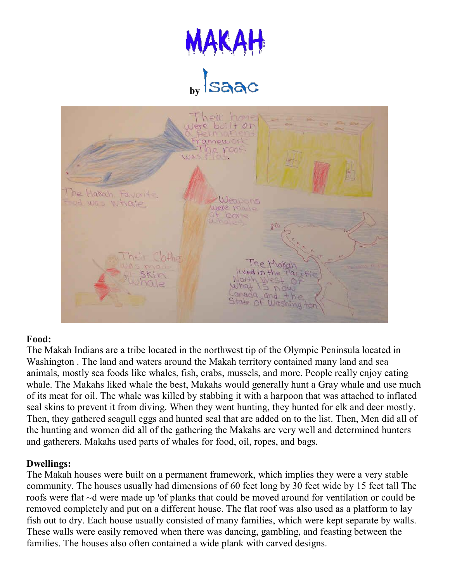



#### **Food:**

The Makah Indians are a tribe located in the northwest tip of the Olympic Peninsula located in Washington . The land and waters around the Makah territory contained many land and sea animals, mostly sea foods like whales, fish, crabs, mussels, and more. People really enjoy eating whale. The Makahs liked whale the best, Makahs would generally hunt a Gray whale and use much of its meat for oil. The whale was killed by stabbing it with a harpoon that was attached to inflated seal skins to prevent it from diving. When they went hunting, they hunted for elk and deer mostly. Then, they gathered seagull eggs and hunted seal that are added on to the list. Then, Men did all of the hunting and women did all of the gathering the Makahs are very well and determined hunters and gatherers. Makahs used parts of whales for food, oil, ropes, and bags.

#### **Dwellings:**

The Makah houses were built on a permanent framework, which implies they were a very stable community. The houses usually had dimensions of 60 feet long by 30 feet wide by 15 feet tall The roofs were flat ~d were made up 'of planks that could be moved around for ventilation or could be removed completely and put on a different house. The flat roof was also used as a platform to lay fish out to dry. Each house usually consisted of many families, which were kept separate by walls. These walls were easily removed when there was dancing, gambling, and feasting between the families. The houses also often contained a wide plank with carved designs.